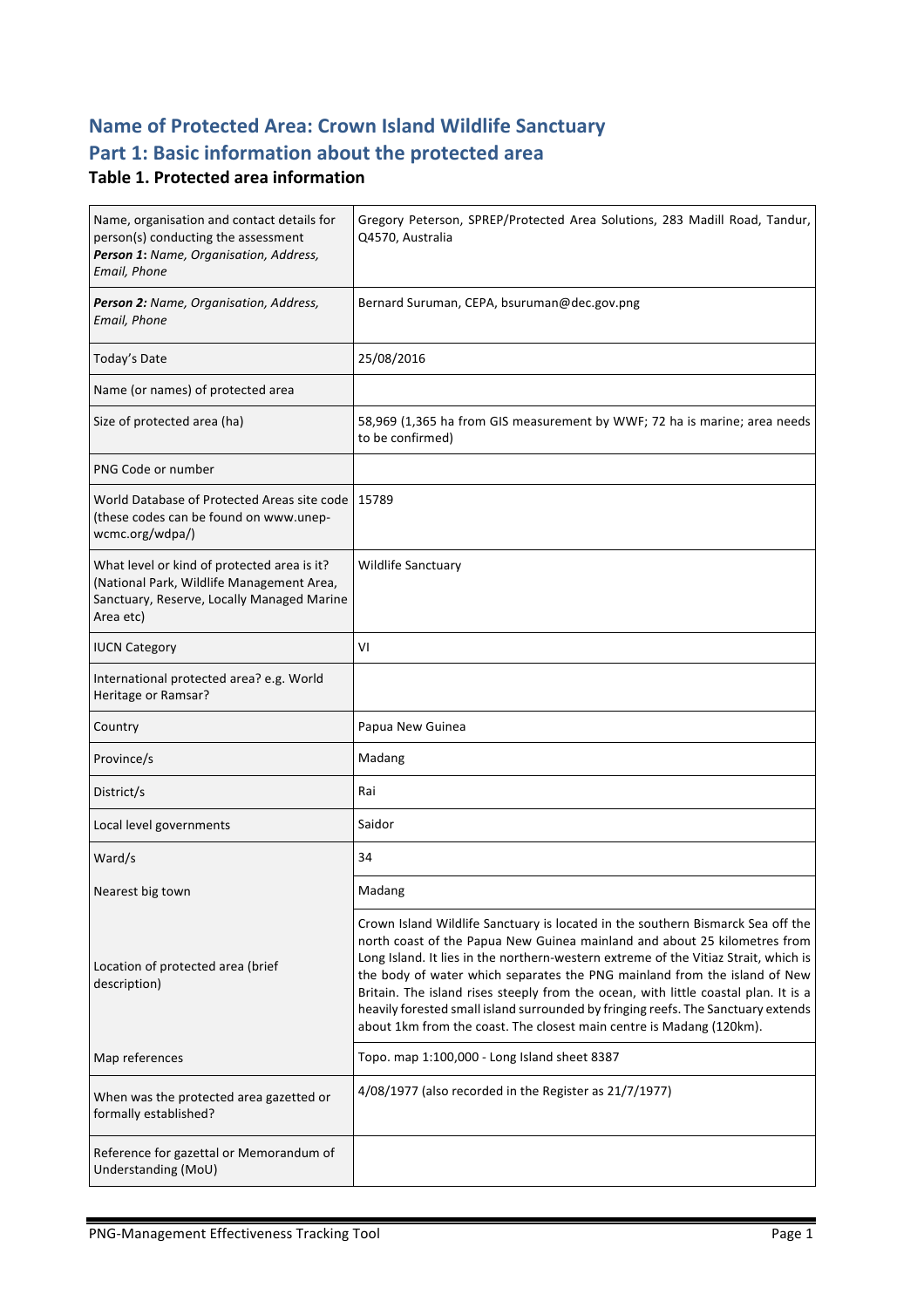# **Name of Protected Area: Crown Island Wildlife Sanctuary** Part 1: Basic information about the protected area

### **Table 1. Protected area information**

| Name, organisation and contact details for<br>person(s) conducting the assessment<br>Person 1: Name, Organisation, Address,<br>Email, Phone         | Gregory Peterson, SPREP/Protected Area Solutions, 283 Madill Road, Tandur,<br>Q4570, Australia                                                                                                                                                                                                                                                                                                                                                                                                                                                                                       |  |
|-----------------------------------------------------------------------------------------------------------------------------------------------------|--------------------------------------------------------------------------------------------------------------------------------------------------------------------------------------------------------------------------------------------------------------------------------------------------------------------------------------------------------------------------------------------------------------------------------------------------------------------------------------------------------------------------------------------------------------------------------------|--|
| Person 2: Name, Organisation, Address,<br>Email, Phone                                                                                              | Bernard Suruman, CEPA, bsuruman@dec.gov.png                                                                                                                                                                                                                                                                                                                                                                                                                                                                                                                                          |  |
| Today's Date                                                                                                                                        | 25/08/2016                                                                                                                                                                                                                                                                                                                                                                                                                                                                                                                                                                           |  |
| Name (or names) of protected area                                                                                                                   |                                                                                                                                                                                                                                                                                                                                                                                                                                                                                                                                                                                      |  |
| Size of protected area (ha)                                                                                                                         | 58,969 (1,365 ha from GIS measurement by WWF; 72 ha is marine; area needs<br>to be confirmed)                                                                                                                                                                                                                                                                                                                                                                                                                                                                                        |  |
| PNG Code or number                                                                                                                                  |                                                                                                                                                                                                                                                                                                                                                                                                                                                                                                                                                                                      |  |
| World Database of Protected Areas site code<br>(these codes can be found on www.unep-<br>wcmc.org/wdpa/)                                            | 15789                                                                                                                                                                                                                                                                                                                                                                                                                                                                                                                                                                                |  |
| What level or kind of protected area is it?<br>(National Park, Wildlife Management Area,<br>Sanctuary, Reserve, Locally Managed Marine<br>Area etc) | <b>Wildlife Sanctuary</b>                                                                                                                                                                                                                                                                                                                                                                                                                                                                                                                                                            |  |
| <b>IUCN Category</b>                                                                                                                                | VI                                                                                                                                                                                                                                                                                                                                                                                                                                                                                                                                                                                   |  |
| International protected area? e.g. World<br>Heritage or Ramsar?                                                                                     |                                                                                                                                                                                                                                                                                                                                                                                                                                                                                                                                                                                      |  |
| Country                                                                                                                                             | Papua New Guinea                                                                                                                                                                                                                                                                                                                                                                                                                                                                                                                                                                     |  |
| Province/s                                                                                                                                          | Madang                                                                                                                                                                                                                                                                                                                                                                                                                                                                                                                                                                               |  |
| District/s                                                                                                                                          | Rai                                                                                                                                                                                                                                                                                                                                                                                                                                                                                                                                                                                  |  |
| Local level governments                                                                                                                             | Saidor                                                                                                                                                                                                                                                                                                                                                                                                                                                                                                                                                                               |  |
| Ward/s                                                                                                                                              | 34                                                                                                                                                                                                                                                                                                                                                                                                                                                                                                                                                                                   |  |
| Nearest big town                                                                                                                                    | Madang                                                                                                                                                                                                                                                                                                                                                                                                                                                                                                                                                                               |  |
| Location of protected area (brief<br>description)                                                                                                   | Crown Island Wildlife Sanctuary is located in the southern Bismarck Sea off the<br>north coast of the Papua New Guinea mainland and about 25 kilometres from<br>Long Island. It lies in the northern-western extreme of the Vitiaz Strait, which is<br>the body of water which separates the PNG mainland from the island of New<br>Britain. The island rises steeply from the ocean, with little coastal plan. It is a<br>heavily forested small island surrounded by fringing reefs. The Sanctuary extends<br>about 1km from the coast. The closest main centre is Madang (120km). |  |
| Map references                                                                                                                                      | Topo. map 1:100,000 - Long Island sheet 8387                                                                                                                                                                                                                                                                                                                                                                                                                                                                                                                                         |  |
| When was the protected area gazetted or<br>formally established?                                                                                    | 4/08/1977 (also recorded in the Register as 21/7/1977)                                                                                                                                                                                                                                                                                                                                                                                                                                                                                                                               |  |
| Reference for gazettal or Memorandum of<br>Understanding (MoU)                                                                                      |                                                                                                                                                                                                                                                                                                                                                                                                                                                                                                                                                                                      |  |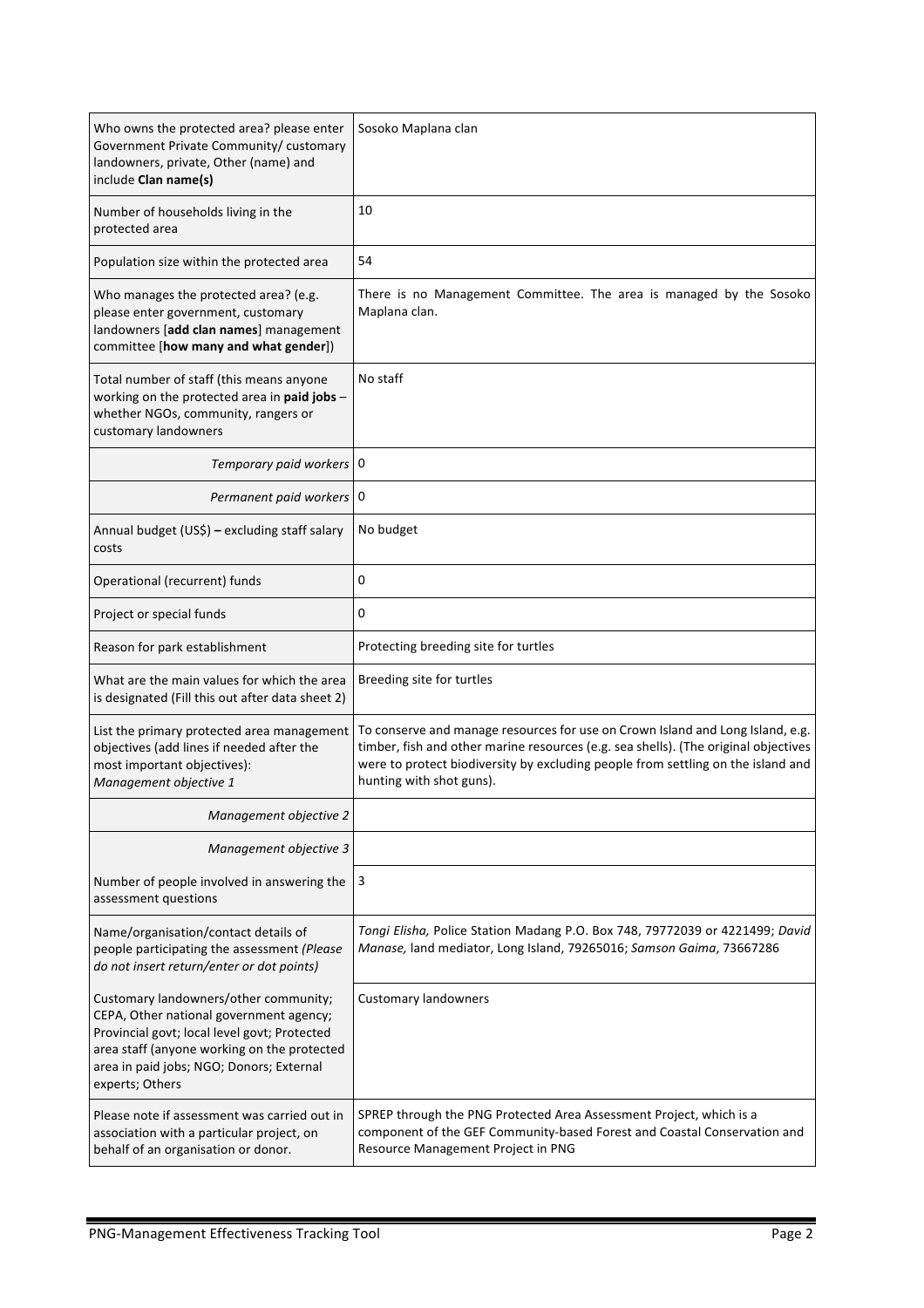| Who owns the protected area? please enter<br>Government Private Community/ customary<br>landowners, private, Other (name) and<br>include Clan name(s)                                                                                          | Sosoko Maplana clan                                                                                                                                                                                                                                                                   |
|------------------------------------------------------------------------------------------------------------------------------------------------------------------------------------------------------------------------------------------------|---------------------------------------------------------------------------------------------------------------------------------------------------------------------------------------------------------------------------------------------------------------------------------------|
| Number of households living in the<br>protected area                                                                                                                                                                                           | 10                                                                                                                                                                                                                                                                                    |
| Population size within the protected area                                                                                                                                                                                                      | 54                                                                                                                                                                                                                                                                                    |
| Who manages the protected area? (e.g.<br>please enter government, customary<br>landowners [add clan names] management<br>committee [how many and what gender])                                                                                 | There is no Management Committee. The area is managed by the Sosoko<br>Maplana clan.                                                                                                                                                                                                  |
| Total number of staff (this means anyone<br>working on the protected area in paid jobs -<br>whether NGOs, community, rangers or<br>customary landowners                                                                                        | No staff                                                                                                                                                                                                                                                                              |
| Temporary paid workers 0                                                                                                                                                                                                                       |                                                                                                                                                                                                                                                                                       |
| Permanent paid workers 0                                                                                                                                                                                                                       |                                                                                                                                                                                                                                                                                       |
| Annual budget (US\$) - excluding staff salary<br>costs                                                                                                                                                                                         | No budget                                                                                                                                                                                                                                                                             |
| Operational (recurrent) funds                                                                                                                                                                                                                  | 0                                                                                                                                                                                                                                                                                     |
| Project or special funds                                                                                                                                                                                                                       | 0                                                                                                                                                                                                                                                                                     |
| Reason for park establishment                                                                                                                                                                                                                  | Protecting breeding site for turtles                                                                                                                                                                                                                                                  |
|                                                                                                                                                                                                                                                |                                                                                                                                                                                                                                                                                       |
| What are the main values for which the area<br>is designated (Fill this out after data sheet 2)                                                                                                                                                | Breeding site for turtles                                                                                                                                                                                                                                                             |
| List the primary protected area management<br>objectives (add lines if needed after the<br>most important objectives):<br>Management objective 1                                                                                               | To conserve and manage resources for use on Crown Island and Long Island, e.g.<br>timber, fish and other marine resources (e.g. sea shells). (The original objectives<br>were to protect biodiversity by excluding people from settling on the island and<br>hunting with shot guns). |
| Management objective 2                                                                                                                                                                                                                         |                                                                                                                                                                                                                                                                                       |
| Management objective 3                                                                                                                                                                                                                         |                                                                                                                                                                                                                                                                                       |
| Number of people involved in answering the<br>assessment questions                                                                                                                                                                             | 3                                                                                                                                                                                                                                                                                     |
| Name/organisation/contact details of<br>people participating the assessment (Please<br>do not insert return/enter or dot points)                                                                                                               | Tongi Elisha, Police Station Madang P.O. Box 748, 79772039 or 4221499; David<br>Manase, land mediator, Long Island, 79265016; Samson Gaima, 73667286                                                                                                                                  |
| Customary landowners/other community;<br>CEPA, Other national government agency;<br>Provincial govt; local level govt; Protected<br>area staff (anyone working on the protected<br>area in paid jobs; NGO; Donors; External<br>experts; Others | <b>Customary landowners</b>                                                                                                                                                                                                                                                           |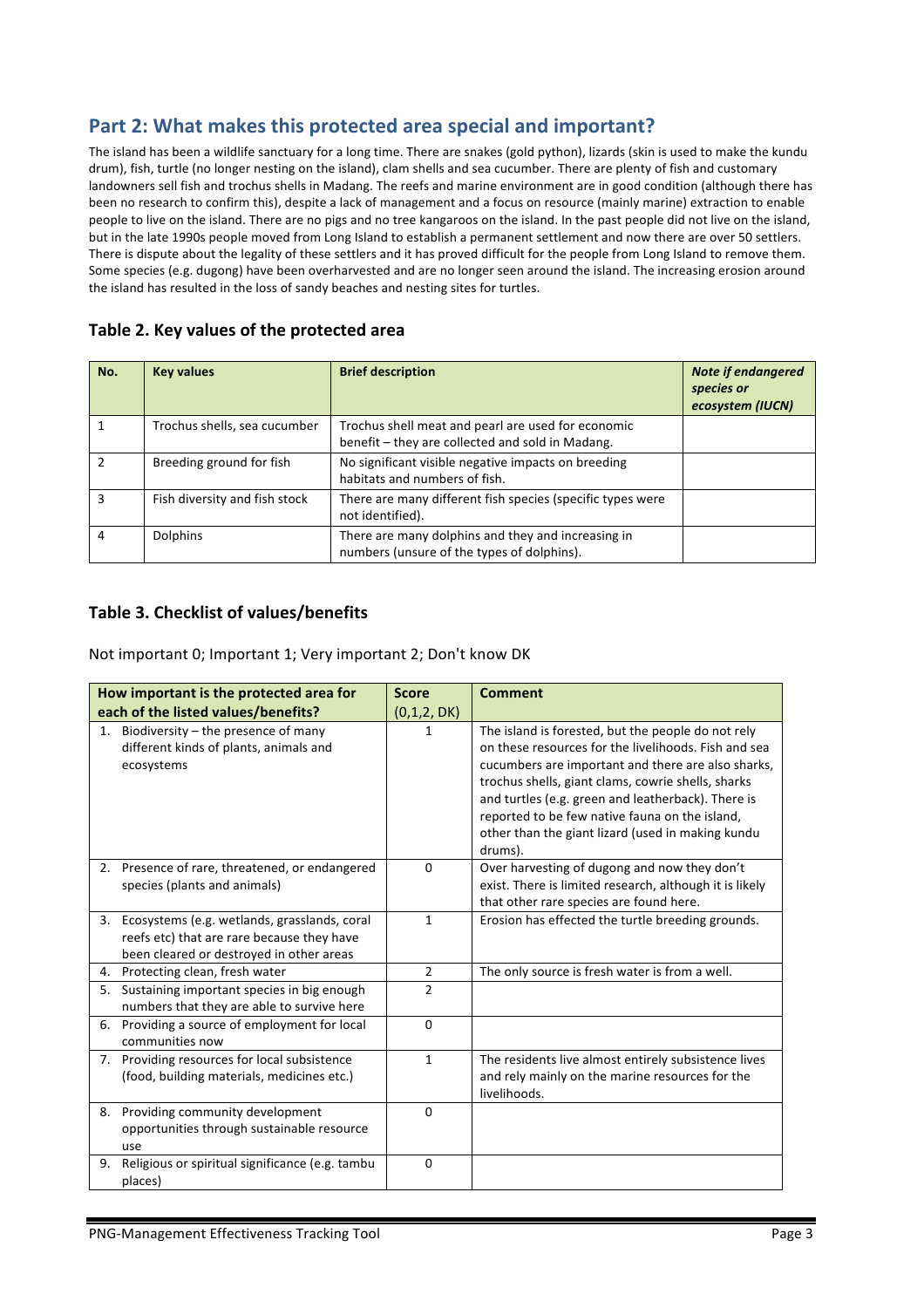## Part 2: What makes this protected area special and important?

The island has been a wildlife sanctuary for a long time. There are snakes (gold python), lizards (skin is used to make the kundu drum), fish, turtle (no longer nesting on the island), clam shells and sea cucumber. There are plenty of fish and customary landowners sell fish and trochus shells in Madang. The reefs and marine environment are in good condition (although there has been no research to confirm this), despite a lack of management and a focus on resource (mainly marine) extraction to enable people to live on the island. There are no pigs and no tree kangaroos on the island. In the past people did not live on the island, but in the late 1990s people moved from Long Island to establish a permanent settlement and now there are over 50 settlers. There is dispute about the legality of these settlers and it has proved difficult for the people from Long Island to remove them. Some species (e.g. dugong) have been overharvested and are no longer seen around the island. The increasing erosion around the island has resulted in the loss of sandy beaches and nesting sites for turtles.

| No. | <b>Key values</b>             | <b>Brief description</b>                                                                               | <b>Note if endangered</b><br>species or<br>ecosystem (IUCN) |
|-----|-------------------------------|--------------------------------------------------------------------------------------------------------|-------------------------------------------------------------|
|     | Trochus shells, sea cucumber  | Trochus shell meat and pearl are used for economic<br>benefit – they are collected and sold in Madang. |                                                             |
|     | Breeding ground for fish      | No significant visible negative impacts on breeding<br>habitats and numbers of fish.                   |                                                             |
| ₹   | Fish diversity and fish stock | There are many different fish species (specific types were<br>not identified).                         |                                                             |
| 4   | <b>Dolphins</b>               | There are many dolphins and they and increasing in<br>numbers (unsure of the types of dolphins).       |                                                             |

#### Table 2. Key values of the protected area

### **Table 3. Checklist of values/benefits**

Not important 0; Important 1; Very important 2; Don't know DK

|    | How important is the protected area for                                                                                                | <b>Score</b>   | <b>Comment</b>                                                                                                                                                                                                                                                                                                                                                                                 |
|----|----------------------------------------------------------------------------------------------------------------------------------------|----------------|------------------------------------------------------------------------------------------------------------------------------------------------------------------------------------------------------------------------------------------------------------------------------------------------------------------------------------------------------------------------------------------------|
|    | each of the listed values/benefits?                                                                                                    | (0,1,2,DK)     |                                                                                                                                                                                                                                                                                                                                                                                                |
| 1. | Biodiversity $-$ the presence of many<br>different kinds of plants, animals and<br>ecosystems                                          | 1              | The island is forested, but the people do not rely<br>on these resources for the livelihoods. Fish and sea<br>cucumbers are important and there are also sharks,<br>trochus shells, giant clams, cowrie shells, sharks<br>and turtles (e.g. green and leatherback). There is<br>reported to be few native fauna on the island,<br>other than the giant lizard (used in making kundu<br>drums). |
|    | 2. Presence of rare, threatened, or endangered<br>species (plants and animals)                                                         | 0              | Over harvesting of dugong and now they don't<br>exist. There is limited research, although it is likely                                                                                                                                                                                                                                                                                        |
|    |                                                                                                                                        |                | that other rare species are found here.                                                                                                                                                                                                                                                                                                                                                        |
| 3. | Ecosystems (e.g. wetlands, grasslands, coral<br>reefs etc) that are rare because they have<br>been cleared or destroyed in other areas | $\mathbf{1}$   | Erosion has effected the turtle breeding grounds.                                                                                                                                                                                                                                                                                                                                              |
| 4. | Protecting clean, fresh water                                                                                                          | $\overline{2}$ | The only source is fresh water is from a well.                                                                                                                                                                                                                                                                                                                                                 |
| 5. | Sustaining important species in big enough<br>numbers that they are able to survive here                                               | $\overline{2}$ |                                                                                                                                                                                                                                                                                                                                                                                                |
|    | 6. Providing a source of employment for local<br>communities now                                                                       | $\Omega$       |                                                                                                                                                                                                                                                                                                                                                                                                |
|    | 7. Providing resources for local subsistence<br>(food, building materials, medicines etc.)                                             | $\mathbf{1}$   | The residents live almost entirely subsistence lives<br>and rely mainly on the marine resources for the<br>livelihoods.                                                                                                                                                                                                                                                                        |
| 8. | Providing community development<br>opportunities through sustainable resource<br>use                                                   | $\Omega$       |                                                                                                                                                                                                                                                                                                                                                                                                |
| 9. | Religious or spiritual significance (e.g. tambu<br>places)                                                                             | $\Omega$       |                                                                                                                                                                                                                                                                                                                                                                                                |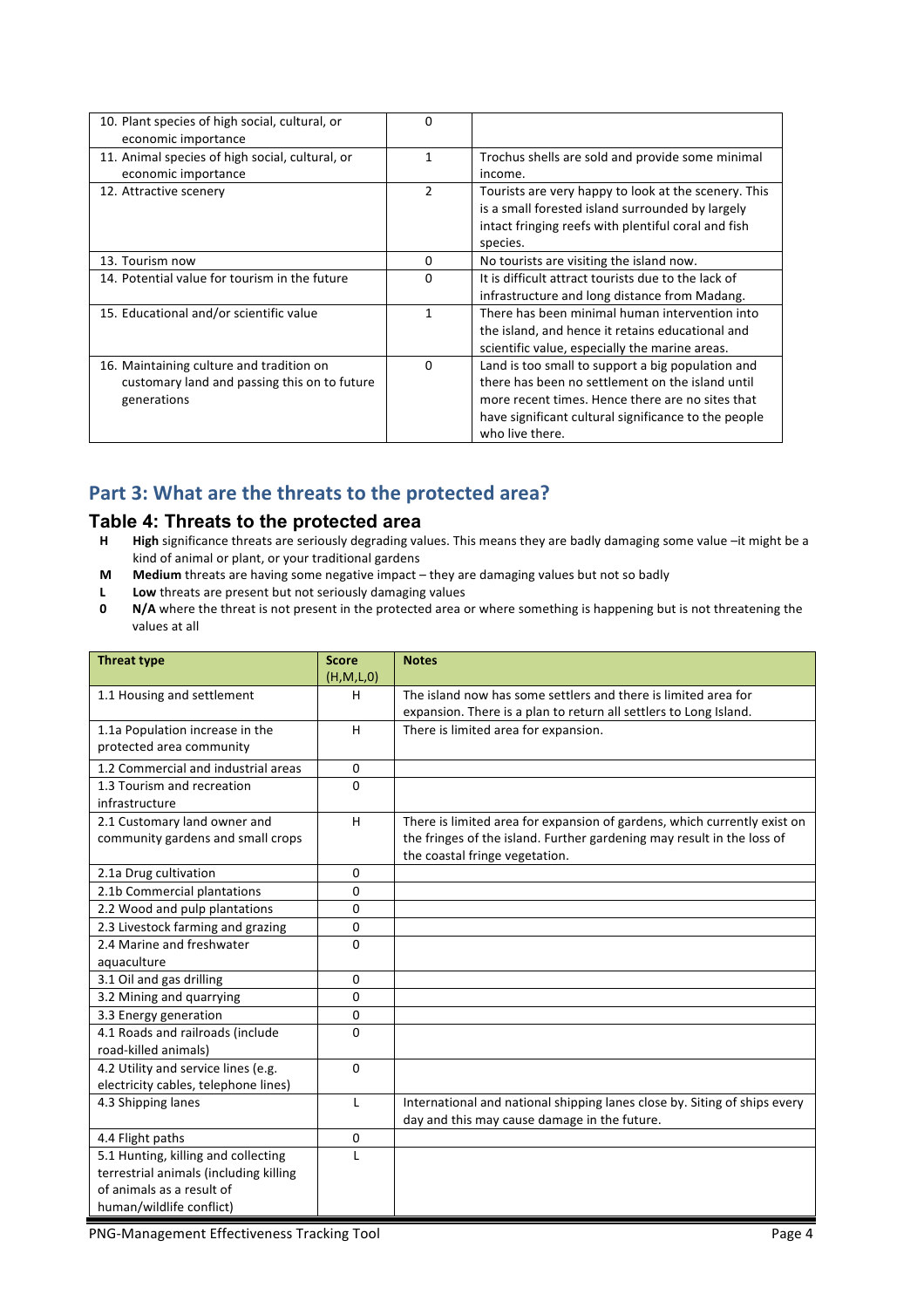| 10. Plant species of high social, cultural, or<br>economic importance                                   | 0             |                                                                                                                                                                                                                                      |
|---------------------------------------------------------------------------------------------------------|---------------|--------------------------------------------------------------------------------------------------------------------------------------------------------------------------------------------------------------------------------------|
| 11. Animal species of high social, cultural, or<br>economic importance                                  | 1             | Trochus shells are sold and provide some minimal<br>income.                                                                                                                                                                          |
| 12. Attractive scenery                                                                                  | $\mathcal{P}$ | Tourists are very happy to look at the scenery. This<br>is a small forested island surrounded by largely<br>intact fringing reefs with plentiful coral and fish<br>species.                                                          |
| 13. Tourism now                                                                                         | 0             | No tourists are visiting the island now.                                                                                                                                                                                             |
| 14. Potential value for tourism in the future                                                           | $\Omega$      | It is difficult attract tourists due to the lack of<br>infrastructure and long distance from Madang.                                                                                                                                 |
| 15. Educational and/or scientific value                                                                 | 1             | There has been minimal human intervention into<br>the island, and hence it retains educational and<br>scientific value, especially the marine areas.                                                                                 |
| 16. Maintaining culture and tradition on<br>customary land and passing this on to future<br>generations | $\Omega$      | Land is too small to support a big population and<br>there has been no settlement on the island until<br>more recent times. Hence there are no sites that<br>have significant cultural significance to the people<br>who live there. |

### Part 3: What are the threats to the protected area?

#### **Table 4: Threats to the protected area**

- **H** High significance threats are seriously degrading values. This means they are badly damaging some value -it might be a kind of animal or plant, or your traditional gardens
- **M Medium** threats are having some negative impact they are damaging values but not so badly
- **L Low** threats are present but not seriously damaging values
- **0 N/A** where the threat is not present in the protected area or where something is happening but is not threatening the values at all

| <b>Threat type</b>                     | <b>Score</b> | <b>Notes</b>                                                              |
|----------------------------------------|--------------|---------------------------------------------------------------------------|
|                                        | (H,M,L,0)    |                                                                           |
| 1.1 Housing and settlement             | H            | The island now has some settlers and there is limited area for            |
|                                        |              | expansion. There is a plan to return all settlers to Long Island.         |
| 1.1a Population increase in the        | H            | There is limited area for expansion.                                      |
| protected area community               |              |                                                                           |
| 1.2 Commercial and industrial areas    | $\mathbf{0}$ |                                                                           |
| 1.3 Tourism and recreation             | $\Omega$     |                                                                           |
| infrastructure                         |              |                                                                           |
| 2.1 Customary land owner and           | H            | There is limited area for expansion of gardens, which currently exist on  |
| community gardens and small crops      |              | the fringes of the island. Further gardening may result in the loss of    |
|                                        |              | the coastal fringe vegetation.                                            |
| 2.1a Drug cultivation                  | $\Omega$     |                                                                           |
| 2.1b Commercial plantations            | $\mathbf 0$  |                                                                           |
| 2.2 Wood and pulp plantations          | 0            |                                                                           |
| 2.3 Livestock farming and grazing      | $\mathbf 0$  |                                                                           |
| 2.4 Marine and freshwater              | 0            |                                                                           |
| aquaculture                            |              |                                                                           |
| 3.1 Oil and gas drilling               | $\Omega$     |                                                                           |
| 3.2 Mining and quarrying               | $\mathbf 0$  |                                                                           |
| 3.3 Energy generation                  | 0            |                                                                           |
| 4.1 Roads and railroads (include       | $\Omega$     |                                                                           |
| road-killed animals)                   |              |                                                                           |
| 4.2 Utility and service lines (e.g.    | $\Omega$     |                                                                           |
| electricity cables, telephone lines)   |              |                                                                           |
| 4.3 Shipping lanes                     | L            | International and national shipping lanes close by. Siting of ships every |
|                                        |              | day and this may cause damage in the future.                              |
| 4.4 Flight paths                       | 0            |                                                                           |
| 5.1 Hunting, killing and collecting    | L            |                                                                           |
| terrestrial animals (including killing |              |                                                                           |
| of animals as a result of              |              |                                                                           |
| human/wildlife conflict)               |              |                                                                           |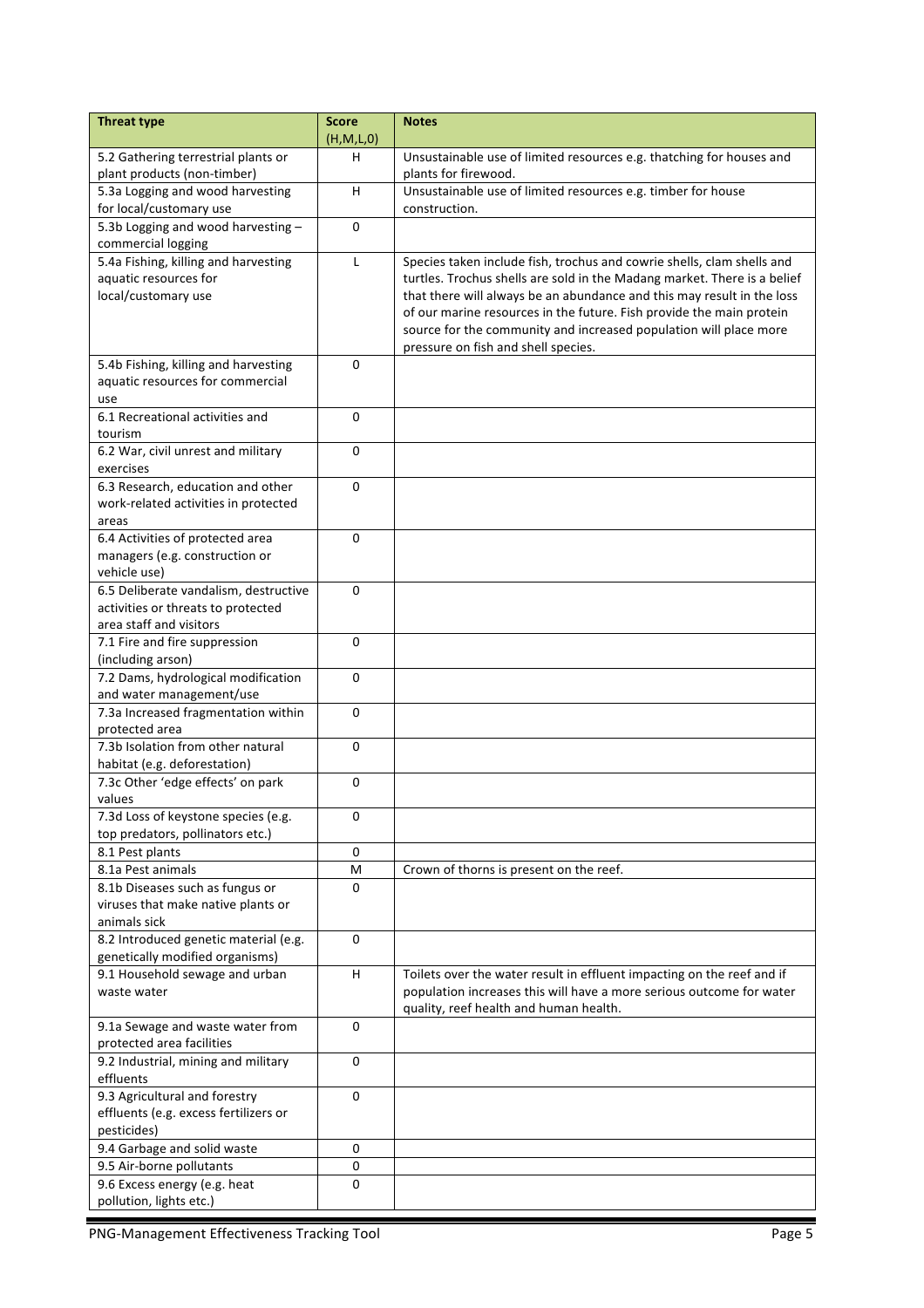| (H,M,L,0)<br>5.2 Gathering terrestrial plants or<br>Unsustainable use of limited resources e.g. thatching for houses and<br>н  |  |
|--------------------------------------------------------------------------------------------------------------------------------|--|
|                                                                                                                                |  |
| plant products (non-timber)<br>plants for firewood.                                                                            |  |
| 5.3a Logging and wood harvesting<br>Unsustainable use of limited resources e.g. timber for house<br>н                          |  |
| for local/customary use<br>construction.                                                                                       |  |
| 5.3b Logging and wood harvesting -<br>0                                                                                        |  |
| commercial logging                                                                                                             |  |
| 5.4a Fishing, killing and harvesting<br>$\mathsf{L}$<br>Species taken include fish, trochus and cowrie shells, clam shells and |  |
| aquatic resources for<br>turtles. Trochus shells are sold in the Madang market. There is a belief                              |  |
| local/customary use<br>that there will always be an abundance and this may result in the loss                                  |  |
| of our marine resources in the future. Fish provide the main protein                                                           |  |
| source for the community and increased population will place more                                                              |  |
| pressure on fish and shell species.                                                                                            |  |
| 5.4b Fishing, killing and harvesting<br>$\Omega$                                                                               |  |
| aquatic resources for commercial                                                                                               |  |
| use                                                                                                                            |  |
| 6.1 Recreational activities and<br>$\Omega$                                                                                    |  |
| tourism                                                                                                                        |  |
| 6.2 War, civil unrest and military<br>0                                                                                        |  |
| exercises                                                                                                                      |  |
| 6.3 Research, education and other<br>$\mathbf 0$                                                                               |  |
| work-related activities in protected                                                                                           |  |
| areas                                                                                                                          |  |
| 6.4 Activities of protected area<br>$\Omega$                                                                                   |  |
| managers (e.g. construction or                                                                                                 |  |
| vehicle use)                                                                                                                   |  |
| 6.5 Deliberate vandalism, destructive<br>0                                                                                     |  |
| activities or threats to protected<br>area staff and visitors                                                                  |  |
| 7.1 Fire and fire suppression<br>0                                                                                             |  |
| (including arson)                                                                                                              |  |
| 7.2 Dams, hydrological modification<br>$\Omega$                                                                                |  |
| and water management/use                                                                                                       |  |
| 7.3a Increased fragmentation within<br>0                                                                                       |  |
| protected area                                                                                                                 |  |
| 7.3b Isolation from other natural<br>0                                                                                         |  |
| habitat (e.g. deforestation)                                                                                                   |  |
| 7.3c Other 'edge effects' on park<br>$\mathbf 0$                                                                               |  |
| values                                                                                                                         |  |
| 7.3d Loss of keystone species (e.g.<br>0                                                                                       |  |
| top predators, pollinators etc.)                                                                                               |  |
| 8.1 Pest plants<br>0                                                                                                           |  |
| 8.1a Pest animals<br>Crown of thorns is present on the reef.<br>М                                                              |  |
| 8.1b Diseases such as fungus or<br>0                                                                                           |  |
| viruses that make native plants or                                                                                             |  |
| animals sick                                                                                                                   |  |
| 8.2 Introduced genetic material (e.g.<br>0                                                                                     |  |
| genetically modified organisms)                                                                                                |  |
| 9.1 Household sewage and urban<br>Toilets over the water result in effluent impacting on the reef and if<br>H.                 |  |
| population increases this will have a more serious outcome for water<br>waste water                                            |  |
| quality, reef health and human health.                                                                                         |  |
| $\Omega$<br>9.1a Sewage and waste water from                                                                                   |  |
| protected area facilities                                                                                                      |  |
| $\Omega$<br>9.2 Industrial, mining and military<br>effluents                                                                   |  |
| 9.3 Agricultural and forestry<br>$\Omega$                                                                                      |  |
| effluents (e.g. excess fertilizers or                                                                                          |  |
| pesticides)                                                                                                                    |  |
| 9.4 Garbage and solid waste<br>0                                                                                               |  |
| 9.5 Air-borne pollutants<br>0                                                                                                  |  |
| 9.6 Excess energy (e.g. heat<br>$\Omega$                                                                                       |  |
| pollution, lights etc.)                                                                                                        |  |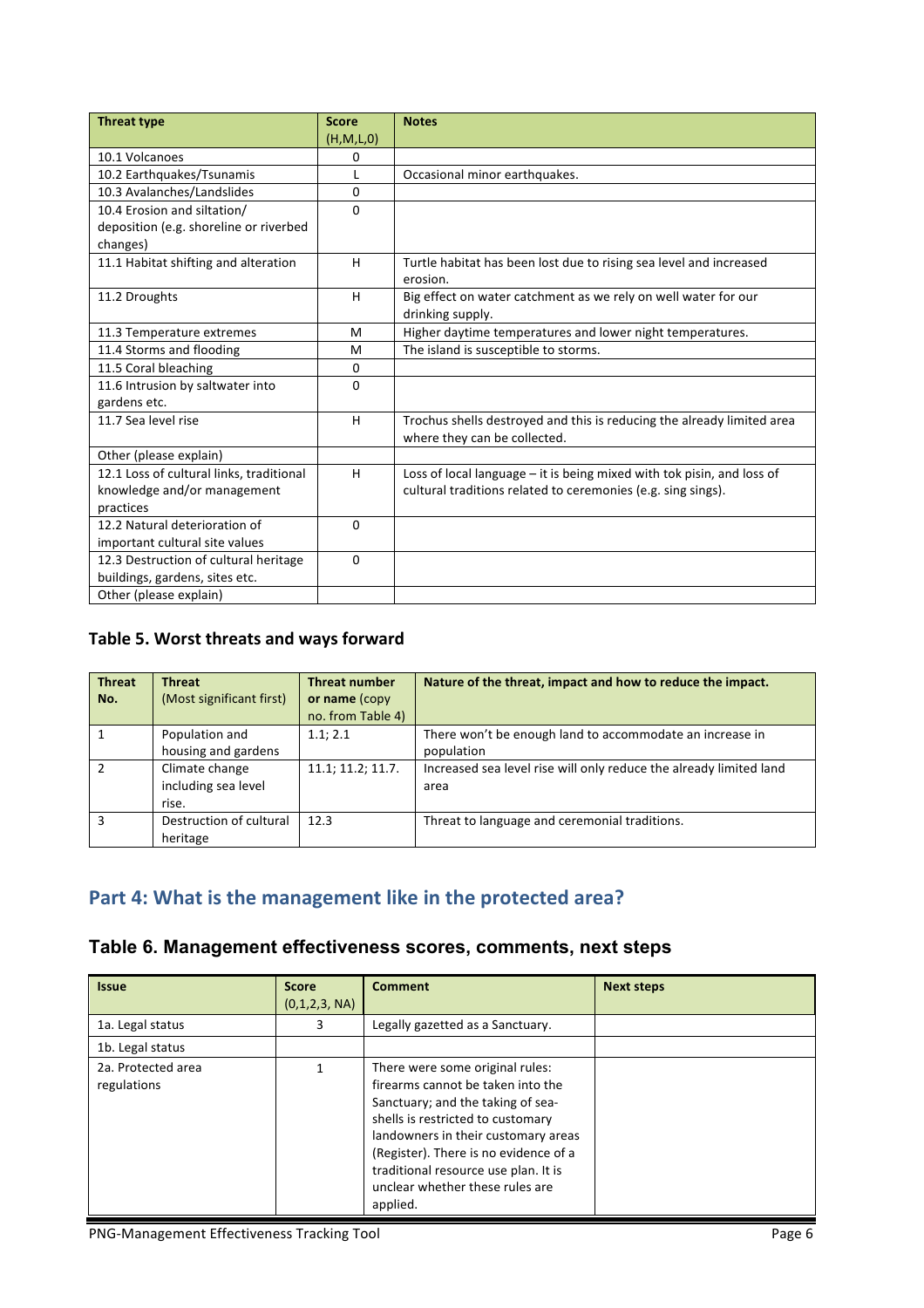| <b>Threat type</b>                       | <b>Score</b> | <b>Notes</b>                                                           |
|------------------------------------------|--------------|------------------------------------------------------------------------|
|                                          | (H,M,L,0)    |                                                                        |
| 10.1 Volcanoes                           | 0            |                                                                        |
| 10.2 Earthquakes/Tsunamis                |              | Occasional minor earthquakes.                                          |
| 10.3 Avalanches/Landslides               | 0            |                                                                        |
| 10.4 Erosion and siltation/              | $\Omega$     |                                                                        |
| deposition (e.g. shoreline or riverbed   |              |                                                                        |
| changes)                                 |              |                                                                        |
| 11.1 Habitat shifting and alteration     | H            | Turtle habitat has been lost due to rising sea level and increased     |
|                                          |              | erosion.                                                               |
| 11.2 Droughts                            | H            | Big effect on water catchment as we rely on well water for our         |
|                                          |              | drinking supply.                                                       |
| 11.3 Temperature extremes                | M            | Higher daytime temperatures and lower night temperatures.              |
| 11.4 Storms and flooding                 | M            | The island is susceptible to storms.                                   |
| 11.5 Coral bleaching                     | $\Omega$     |                                                                        |
| 11.6 Intrusion by saltwater into         | $\Omega$     |                                                                        |
| gardens etc.                             |              |                                                                        |
| 11.7 Sea level rise                      | H            | Trochus shells destroyed and this is reducing the already limited area |
|                                          |              | where they can be collected.                                           |
| Other (please explain)                   |              |                                                                        |
| 12.1 Loss of cultural links, traditional | H            | Loss of local language - it is being mixed with tok pisin, and loss of |
| knowledge and/or management              |              | cultural traditions related to ceremonies (e.g. sing sings).           |
| practices                                |              |                                                                        |
| 12.2 Natural deterioration of            | $\Omega$     |                                                                        |
| important cultural site values           |              |                                                                        |
| 12.3 Destruction of cultural heritage    | $\Omega$     |                                                                        |
| buildings, gardens, sites etc.           |              |                                                                        |
| Other (please explain)                   |              |                                                                        |

### Table 5. Worst threats and ways forward

| <b>Threat</b>  | <b>Threat</b>            | <b>Threat number</b> | Nature of the threat, impact and how to reduce the impact.         |
|----------------|--------------------------|----------------------|--------------------------------------------------------------------|
| No.            | (Most significant first) | or name (copy        |                                                                    |
|                |                          | no. from Table 4)    |                                                                    |
|                | Population and           | 1.1; 2.1             | There won't be enough land to accommodate an increase in           |
|                | housing and gardens      |                      | population                                                         |
| $\mathfrak{p}$ | Climate change           | 11.1; 11.2; 11.7.    | Increased sea level rise will only reduce the already limited land |
|                | including sea level      |                      | area                                                               |
|                | rise.                    |                      |                                                                    |
| 3              | Destruction of cultural  | 12.3                 | Threat to language and ceremonial traditions.                      |
|                | heritage                 |                      |                                                                    |

## Part 4: What is the management like in the protected area?

### **Table 6. Management effectiveness scores, comments, next steps**

| <b>Issue</b>                      | <b>Score</b><br>(0,1,2,3, NA) | <b>Comment</b>                                                                                                                                                                                                                                                                                                        | <b>Next steps</b> |
|-----------------------------------|-------------------------------|-----------------------------------------------------------------------------------------------------------------------------------------------------------------------------------------------------------------------------------------------------------------------------------------------------------------------|-------------------|
| 1a. Legal status                  | 3                             | Legally gazetted as a Sanctuary.                                                                                                                                                                                                                                                                                      |                   |
| 1b. Legal status                  |                               |                                                                                                                                                                                                                                                                                                                       |                   |
| 2a. Protected area<br>regulations |                               | There were some original rules:<br>firearms cannot be taken into the<br>Sanctuary; and the taking of sea-<br>shells is restricted to customary<br>landowners in their customary areas<br>(Register). There is no evidence of a<br>traditional resource use plan. It is<br>unclear whether these rules are<br>applied. |                   |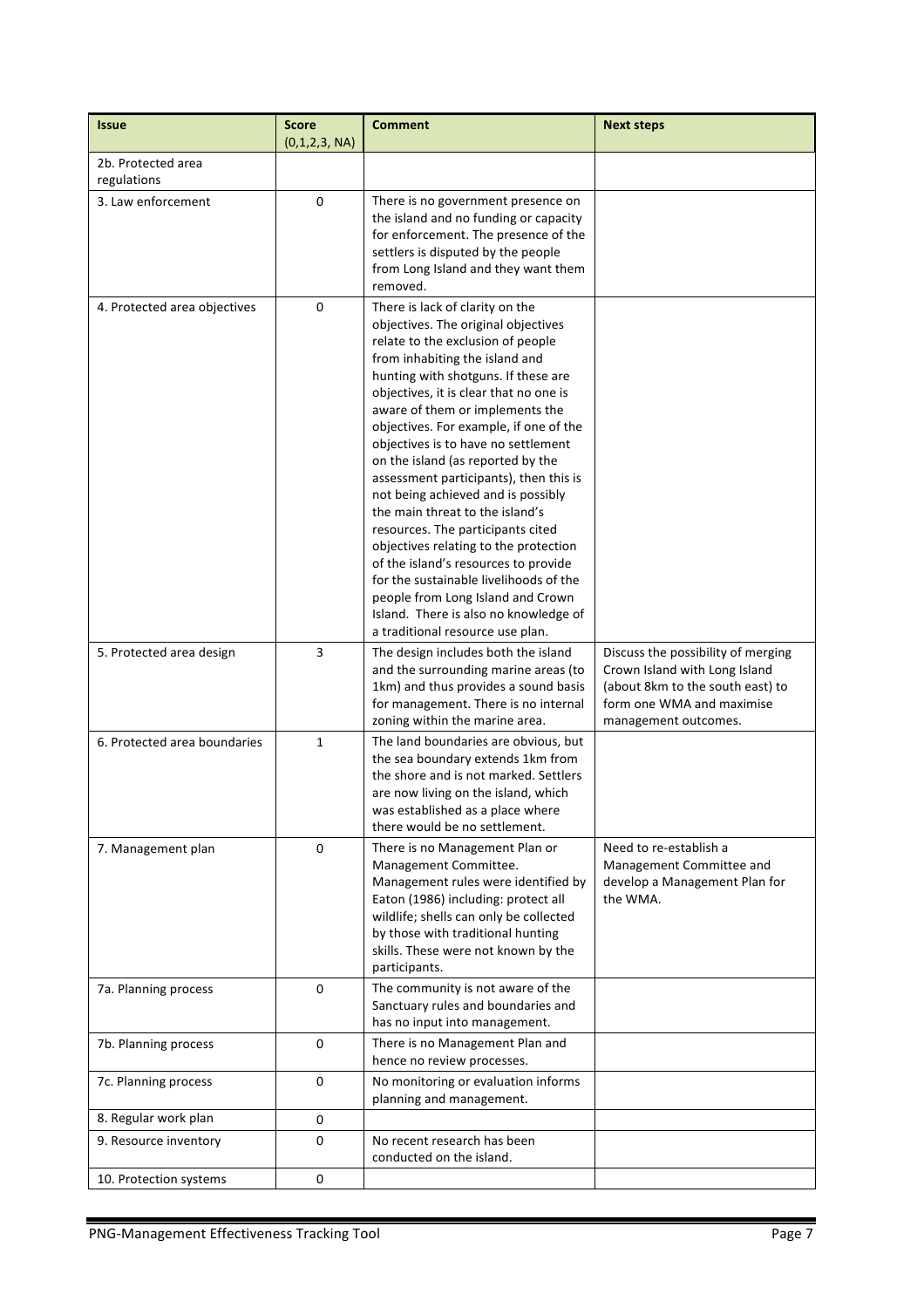| <b>Issue</b>                      | <b>Score</b><br>(0,1,2,3, NA) | <b>Comment</b>                                                                                                                                                                                                                                                                                                                                                                                                                                                                                                                                                                                                                                                                                                                                                                               | <b>Next steps</b>                                                                                                                                            |
|-----------------------------------|-------------------------------|----------------------------------------------------------------------------------------------------------------------------------------------------------------------------------------------------------------------------------------------------------------------------------------------------------------------------------------------------------------------------------------------------------------------------------------------------------------------------------------------------------------------------------------------------------------------------------------------------------------------------------------------------------------------------------------------------------------------------------------------------------------------------------------------|--------------------------------------------------------------------------------------------------------------------------------------------------------------|
| 2b. Protected area<br>regulations |                               |                                                                                                                                                                                                                                                                                                                                                                                                                                                                                                                                                                                                                                                                                                                                                                                              |                                                                                                                                                              |
| 3. Law enforcement                | 0                             | There is no government presence on<br>the island and no funding or capacity<br>for enforcement. The presence of the<br>settlers is disputed by the people<br>from Long Island and they want them<br>removed.                                                                                                                                                                                                                                                                                                                                                                                                                                                                                                                                                                                 |                                                                                                                                                              |
| 4. Protected area objectives      | 0                             | There is lack of clarity on the<br>objectives. The original objectives<br>relate to the exclusion of people<br>from inhabiting the island and<br>hunting with shotguns. If these are<br>objectives, it is clear that no one is<br>aware of them or implements the<br>objectives. For example, if one of the<br>objectives is to have no settlement<br>on the island (as reported by the<br>assessment participants), then this is<br>not being achieved and is possibly<br>the main threat to the island's<br>resources. The participants cited<br>objectives relating to the protection<br>of the island's resources to provide<br>for the sustainable livelihoods of the<br>people from Long Island and Crown<br>Island. There is also no knowledge of<br>a traditional resource use plan. |                                                                                                                                                              |
| 5. Protected area design          | 3                             | The design includes both the island<br>and the surrounding marine areas (to<br>1km) and thus provides a sound basis<br>for management. There is no internal<br>zoning within the marine area.                                                                                                                                                                                                                                                                                                                                                                                                                                                                                                                                                                                                | Discuss the possibility of merging<br>Crown Island with Long Island<br>(about 8km to the south east) to<br>form one WMA and maximise<br>management outcomes. |
| 6. Protected area boundaries      | $\mathbf{1}$                  | The land boundaries are obvious, but<br>the sea boundary extends 1km from<br>the shore and is not marked. Settlers<br>are now living on the island, which<br>was established as a place where<br>there would be no settlement.                                                                                                                                                                                                                                                                                                                                                                                                                                                                                                                                                               |                                                                                                                                                              |
| 7. Management plan                | $\Omega$                      | There is no Management Plan or<br>Management Committee.<br>Management rules were identified by<br>Eaton (1986) including: protect all<br>wildlife; shells can only be collected<br>by those with traditional hunting<br>skills. These were not known by the<br>participants.                                                                                                                                                                                                                                                                                                                                                                                                                                                                                                                 | Need to re-establish a<br>Management Committee and<br>develop a Management Plan for<br>the WMA.                                                              |
| 7a. Planning process              | 0                             | The community is not aware of the<br>Sanctuary rules and boundaries and<br>has no input into management.                                                                                                                                                                                                                                                                                                                                                                                                                                                                                                                                                                                                                                                                                     |                                                                                                                                                              |
| 7b. Planning process              | $\Omega$                      | There is no Management Plan and<br>hence no review processes.                                                                                                                                                                                                                                                                                                                                                                                                                                                                                                                                                                                                                                                                                                                                |                                                                                                                                                              |
| 7c. Planning process              | 0                             | No monitoring or evaluation informs<br>planning and management.                                                                                                                                                                                                                                                                                                                                                                                                                                                                                                                                                                                                                                                                                                                              |                                                                                                                                                              |
| 8. Regular work plan              | 0                             |                                                                                                                                                                                                                                                                                                                                                                                                                                                                                                                                                                                                                                                                                                                                                                                              |                                                                                                                                                              |
| 9. Resource inventory             | 0                             | No recent research has been<br>conducted on the island.                                                                                                                                                                                                                                                                                                                                                                                                                                                                                                                                                                                                                                                                                                                                      |                                                                                                                                                              |
| 10. Protection systems            | 0                             |                                                                                                                                                                                                                                                                                                                                                                                                                                                                                                                                                                                                                                                                                                                                                                                              |                                                                                                                                                              |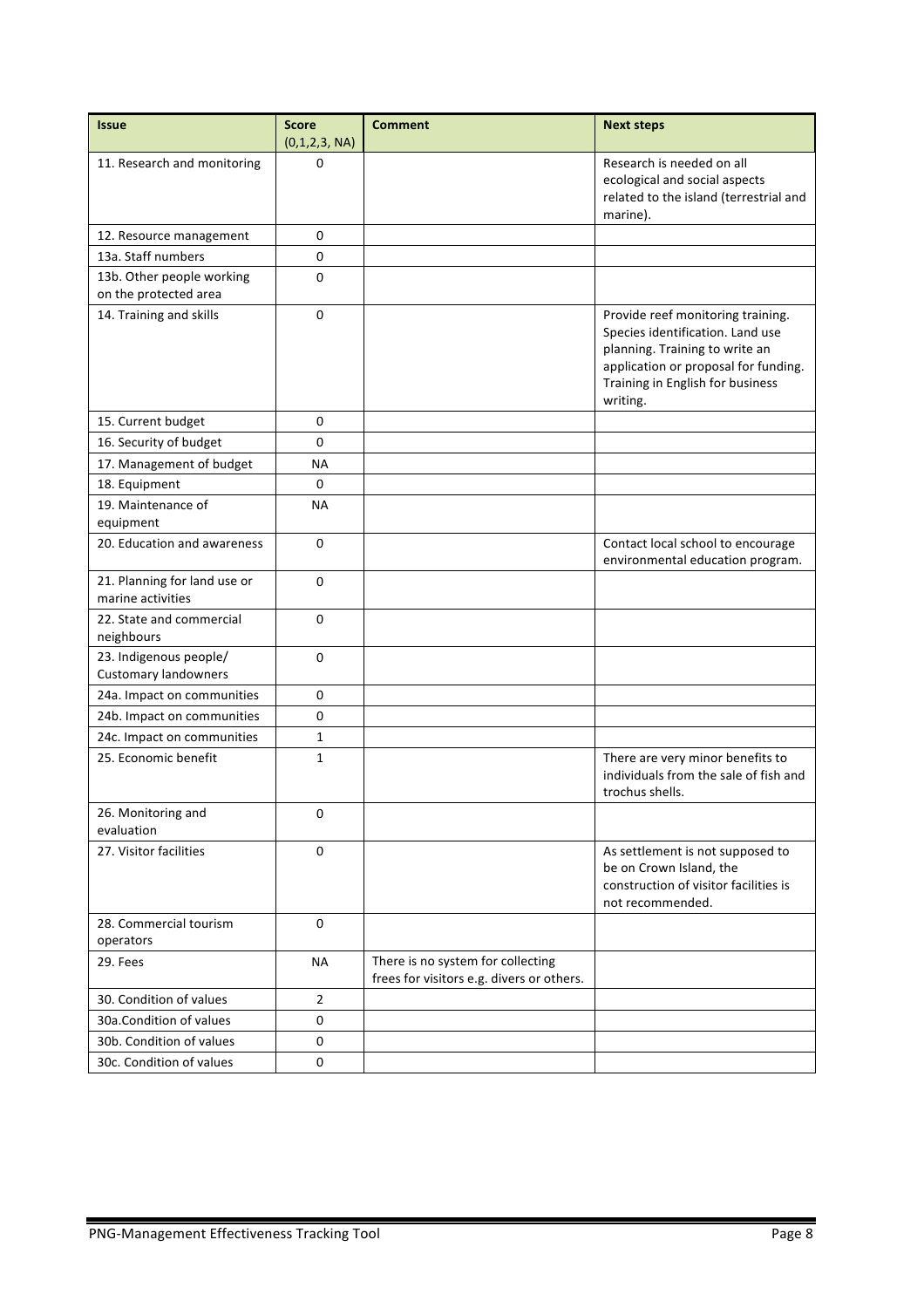| <b>Issue</b>                                          | <b>Score</b><br>(0,1,2,3, NA) | <b>Comment</b>                                                                 | <b>Next steps</b>                                                                                                                                                                               |
|-------------------------------------------------------|-------------------------------|--------------------------------------------------------------------------------|-------------------------------------------------------------------------------------------------------------------------------------------------------------------------------------------------|
| 11. Research and monitoring                           | 0                             |                                                                                | Research is needed on all<br>ecological and social aspects<br>related to the island (terrestrial and<br>marine).                                                                                |
| 12. Resource management                               | 0                             |                                                                                |                                                                                                                                                                                                 |
| 13a. Staff numbers                                    | 0                             |                                                                                |                                                                                                                                                                                                 |
| 13b. Other people working<br>on the protected area    | 0                             |                                                                                |                                                                                                                                                                                                 |
| 14. Training and skills                               | 0                             |                                                                                | Provide reef monitoring training.<br>Species identification. Land use<br>planning. Training to write an<br>application or proposal for funding.<br>Training in English for business<br>writing. |
| 15. Current budget                                    | 0                             |                                                                                |                                                                                                                                                                                                 |
| 16. Security of budget                                | 0                             |                                                                                |                                                                                                                                                                                                 |
| 17. Management of budget                              | <b>NA</b>                     |                                                                                |                                                                                                                                                                                                 |
| 18. Equipment                                         | 0                             |                                                                                |                                                                                                                                                                                                 |
| 19. Maintenance of<br>equipment                       | <b>NA</b>                     |                                                                                |                                                                                                                                                                                                 |
| 20. Education and awareness                           | 0                             |                                                                                | Contact local school to encourage<br>environmental education program.                                                                                                                           |
| 21. Planning for land use or<br>marine activities     | 0                             |                                                                                |                                                                                                                                                                                                 |
| 22. State and commercial<br>neighbours                | 0                             |                                                                                |                                                                                                                                                                                                 |
| 23. Indigenous people/<br><b>Customary landowners</b> | 0                             |                                                                                |                                                                                                                                                                                                 |
| 24a. Impact on communities                            | 0                             |                                                                                |                                                                                                                                                                                                 |
| 24b. Impact on communities                            | 0                             |                                                                                |                                                                                                                                                                                                 |
| 24c. Impact on communities                            | 1                             |                                                                                |                                                                                                                                                                                                 |
| 25. Economic benefit                                  | 1                             |                                                                                | There are very minor benefits to<br>individuals from the sale of fish and<br>trochus shells.                                                                                                    |
| 26. Monitoring and<br>evaluation                      | 0                             |                                                                                |                                                                                                                                                                                                 |
| 27. Visitor facilities                                | 0                             |                                                                                | As settlement is not supposed to<br>be on Crown Island, the<br>construction of visitor facilities is<br>not recommended.                                                                        |
| 28. Commercial tourism<br>operators                   | 0                             |                                                                                |                                                                                                                                                                                                 |
| 29. Fees                                              | ΝA                            | There is no system for collecting<br>frees for visitors e.g. divers or others. |                                                                                                                                                                                                 |
| 30. Condition of values                               | 2                             |                                                                                |                                                                                                                                                                                                 |
| 30a.Condition of values                               | 0                             |                                                                                |                                                                                                                                                                                                 |
| 30b. Condition of values                              | 0                             |                                                                                |                                                                                                                                                                                                 |
| 30c. Condition of values                              | $\mathbf 0$                   |                                                                                |                                                                                                                                                                                                 |